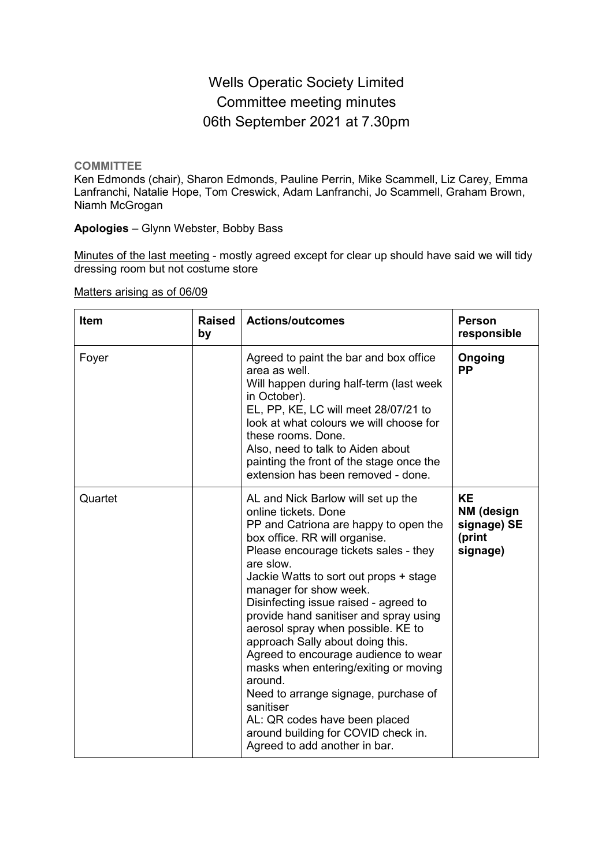# Wells Operatic Society Limited Committee meeting minutes 06th September 2021 at 7.30pm

**COMMITTEE**

Ken Edmonds (chair), Sharon Edmonds, Pauline Perrin, Mike Scammell, Liz Carey, Emma Lanfranchi, Natalie Hope, Tom Creswick, Adam Lanfranchi, Jo Scammell, Graham Brown, Niamh McGrogan

**Apologies** – Glynn Webster, Bobby Bass

Minutes of the last meeting - mostly agreed except for clear up should have said we will tidy dressing room but not costume store

#### Matters arising as of 06/09

| <b>Item</b> | <b>Raised</b><br>by | <b>Actions/outcomes</b><br><b>Person</b><br>responsible                                                                                                                                                                                                                                                                                                                                                                                                                                                                                                                                                                                                                               |                                                              |
|-------------|---------------------|---------------------------------------------------------------------------------------------------------------------------------------------------------------------------------------------------------------------------------------------------------------------------------------------------------------------------------------------------------------------------------------------------------------------------------------------------------------------------------------------------------------------------------------------------------------------------------------------------------------------------------------------------------------------------------------|--------------------------------------------------------------|
| Foyer       |                     | Agreed to paint the bar and box office<br>area as well.<br>Will happen during half-term (last week<br>in October).<br>EL, PP, KE, LC will meet 28/07/21 to<br>look at what colours we will choose for<br>these rooms. Done.<br>Also, need to talk to Aiden about<br>painting the front of the stage once the<br>extension has been removed - done.                                                                                                                                                                                                                                                                                                                                    | Ongoing<br><b>PP</b>                                         |
| Quartet     |                     | AL and Nick Barlow will set up the<br>online tickets. Done<br>PP and Catriona are happy to open the<br>box office. RR will organise.<br>Please encourage tickets sales - they<br>are slow.<br>Jackie Watts to sort out props + stage<br>manager for show week.<br>Disinfecting issue raised - agreed to<br>provide hand sanitiser and spray using<br>aerosol spray when possible. KE to<br>approach Sally about doing this.<br>Agreed to encourage audience to wear<br>masks when entering/exiting or moving<br>around.<br>Need to arrange signage, purchase of<br>sanitiser<br>AL: QR codes have been placed<br>around building for COVID check in.<br>Agreed to add another in bar. | <b>KE</b><br>NM (design<br>signage) SE<br>(print<br>signage) |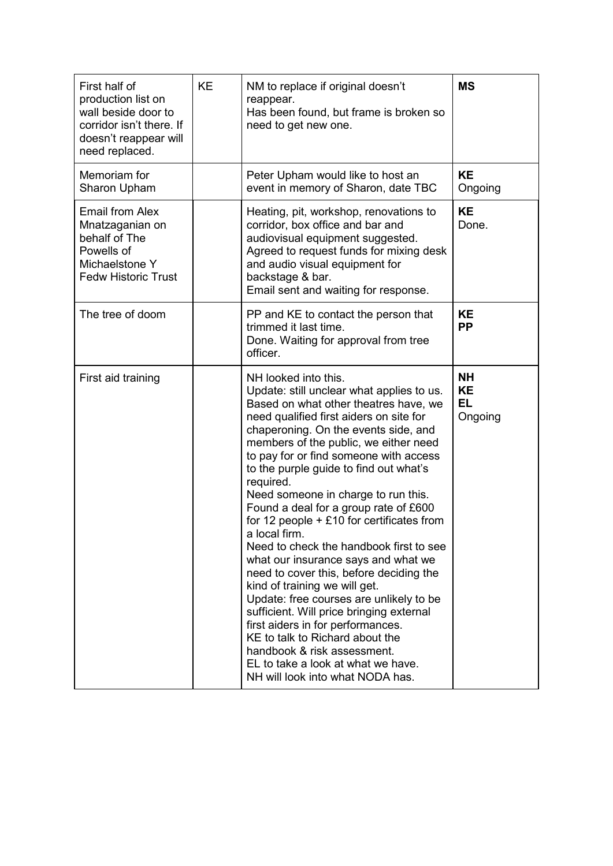| First half of<br>production list on<br>wall beside door to<br>corridor isn't there. If<br>doesn't reappear will<br>need replaced. | <b>KE</b> | NM to replace if original doesn't<br>reappear.<br>Has been found, but frame is broken so<br>need to get new one.                                                                                                                                                                                                                                                                                                                                                                                                                                                                                                                                                                                                                                                                                                                                                                                                              | <b>MS</b>                                      |
|-----------------------------------------------------------------------------------------------------------------------------------|-----------|-------------------------------------------------------------------------------------------------------------------------------------------------------------------------------------------------------------------------------------------------------------------------------------------------------------------------------------------------------------------------------------------------------------------------------------------------------------------------------------------------------------------------------------------------------------------------------------------------------------------------------------------------------------------------------------------------------------------------------------------------------------------------------------------------------------------------------------------------------------------------------------------------------------------------------|------------------------------------------------|
| Memoriam for<br>Sharon Upham                                                                                                      |           | Peter Upham would like to host an<br>event in memory of Sharon, date TBC                                                                                                                                                                                                                                                                                                                                                                                                                                                                                                                                                                                                                                                                                                                                                                                                                                                      | <b>KE</b><br>Ongoing                           |
| <b>Email from Alex</b><br>Mnatzaganian on<br>behalf of The<br>Powells of<br>Michaelstone Y<br><b>Fedw Historic Trust</b>          |           | Heating, pit, workshop, renovations to<br>corridor, box office and bar and<br>audiovisual equipment suggested.<br>Agreed to request funds for mixing desk<br>and audio visual equipment for<br>backstage & bar.<br>Email sent and waiting for response.                                                                                                                                                                                                                                                                                                                                                                                                                                                                                                                                                                                                                                                                       | <b>KE</b><br>Done.                             |
| The tree of doom                                                                                                                  |           | PP and KE to contact the person that<br>trimmed it last time.<br>Done. Waiting for approval from tree<br>officer.                                                                                                                                                                                                                                                                                                                                                                                                                                                                                                                                                                                                                                                                                                                                                                                                             | <b>KE</b><br><b>PP</b>                         |
| First aid training                                                                                                                |           | NH looked into this.<br>Update: still unclear what applies to us.<br>Based on what other theatres have, we<br>need qualified first aiders on site for<br>chaperoning. On the events side, and<br>members of the public, we either need<br>to pay for or find someone with access<br>to the purple guide to find out what's<br>required.<br>Need someone in charge to run this.<br>Found a deal for a group rate of £600<br>for 12 people $+ £10$ for certificates from<br>a local firm.<br>Need to check the handbook first to see<br>what our insurance says and what we<br>need to cover this, before deciding the<br>kind of training we will get.<br>Update: free courses are unlikely to be<br>sufficient. Will price bringing external<br>first aiders in for performances.<br>KE to talk to Richard about the<br>handbook & risk assessment.<br>EL to take a look at what we have.<br>NH will look into what NODA has. | <b>NH</b><br><b>KE</b><br><b>EL</b><br>Ongoing |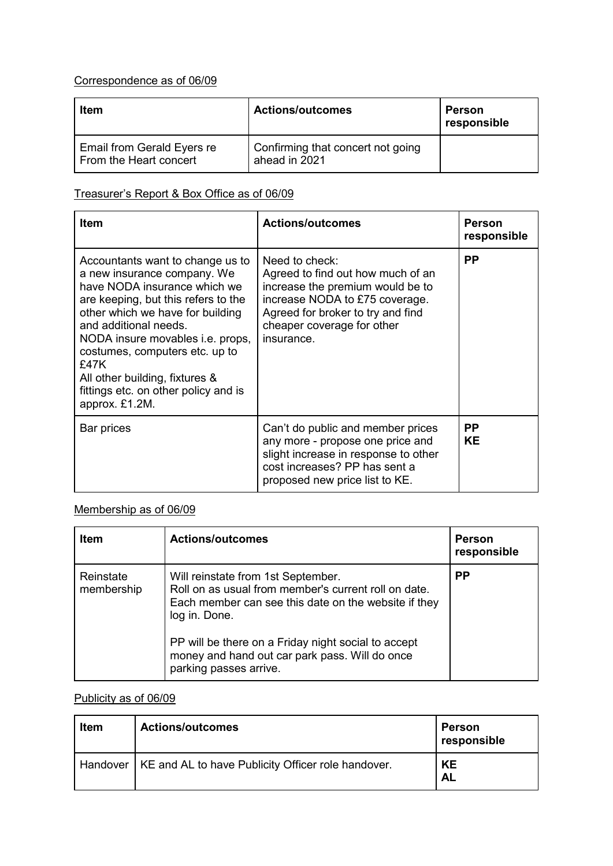### Correspondence as of 06/09

| Item                                                 | <b>Actions/outcomes</b>                            | Person<br>responsible |
|------------------------------------------------------|----------------------------------------------------|-----------------------|
| Email from Gerald Eyers re<br>From the Heart concert | Confirming that concert not going<br>ahead in 2021 |                       |

#### Treasurer's Report & Box Office as of 06/09

| <b>Item</b>                                                                                                                                                                                                                                                                                                                                                                          | <b>Actions/outcomes</b>                                                                                                                                                                                    | <b>Person</b><br>responsible |
|--------------------------------------------------------------------------------------------------------------------------------------------------------------------------------------------------------------------------------------------------------------------------------------------------------------------------------------------------------------------------------------|------------------------------------------------------------------------------------------------------------------------------------------------------------------------------------------------------------|------------------------------|
| Accountants want to change us to<br>a new insurance company. We<br>have NODA insurance which we<br>are keeping, but this refers to the<br>other which we have for building<br>and additional needs.<br>NODA insure movables <i>i.e.</i> props,<br>costumes, computers etc. up to<br>£47K<br>All other building, fixtures &<br>fittings etc. on other policy and is<br>approx. £1.2M. | Need to check:<br>Agreed to find out how much of an<br>increase the premium would be to<br>increase NODA to £75 coverage.<br>Agreed for broker to try and find<br>cheaper coverage for other<br>insurance. | <b>PP</b>                    |
| Bar prices                                                                                                                                                                                                                                                                                                                                                                           | Can't do public and member prices<br>any more - propose one price and<br>slight increase in response to other<br>cost increases? PP has sent a<br>proposed new price list to KE.                           | <b>PP</b><br><b>KE</b>       |

## Membership as of 06/09

| <b>Item</b>             | <b>Actions/outcomes</b>                                                                                                                                                                                                                                                      | <b>Person</b><br>responsible |
|-------------------------|------------------------------------------------------------------------------------------------------------------------------------------------------------------------------------------------------------------------------------------------------------------------------|------------------------------|
| Reinstate<br>membership | Will reinstate from 1st September.<br>Roll on as usual from member's current roll on date.<br>Each member can see this date on the website if they<br>log in. Done.<br>PP will be there on a Friday night social to accept<br>money and hand out car park pass. Will do once | <b>PP</b>                    |
|                         | parking passes arrive.                                                                                                                                                                                                                                                       |                              |

## Publicity as of 06/09

| <b>Item</b> | <b>Actions/outcomes</b>                                       | <b>Person</b><br>responsible |
|-------------|---------------------------------------------------------------|------------------------------|
|             | Handover   KE and AL to have Publicity Officer role handover. | <b>KE</b><br><b>AL</b>       |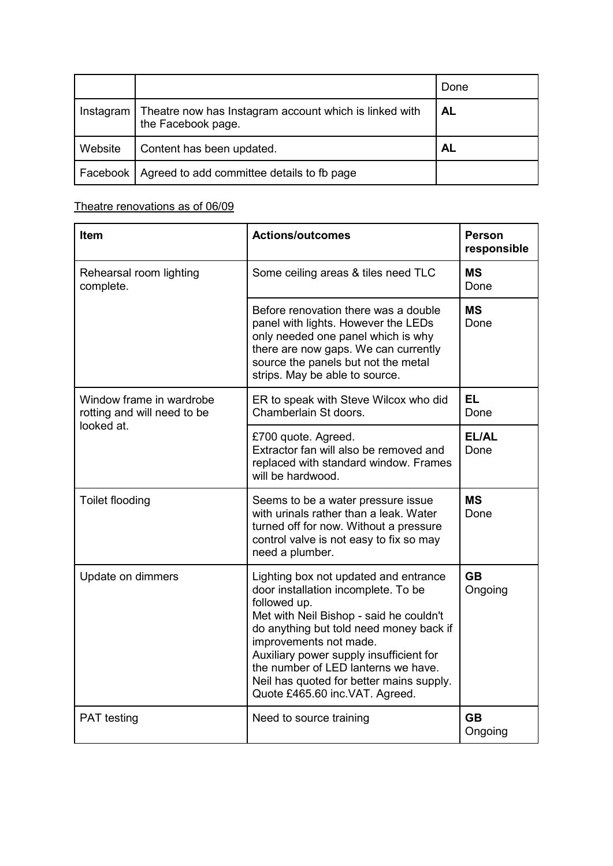|           |                                                                              | Done      |
|-----------|------------------------------------------------------------------------------|-----------|
| Instagram | Theatre now has Instagram account which is linked with<br>the Facebook page. | <b>AL</b> |
| Website   | Content has been updated.                                                    | <b>AL</b> |
| Facebook  | Agreed to add committee details to fb page                                   |           |

#### Theatre renovations as of 06/09

| Item                                                                  | <b>Actions/outcomes</b>                                                                                                                                                                                                                                                                                                                                                      | <b>Person</b><br>responsible |
|-----------------------------------------------------------------------|------------------------------------------------------------------------------------------------------------------------------------------------------------------------------------------------------------------------------------------------------------------------------------------------------------------------------------------------------------------------------|------------------------------|
| Rehearsal room lighting<br>complete.                                  | Some ceiling areas & tiles need TLC                                                                                                                                                                                                                                                                                                                                          | <b>MS</b><br>Done            |
|                                                                       | Before renovation there was a double<br>panel with lights. However the LEDs<br>only needed one panel which is why<br>there are now gaps. We can currently<br>source the panels but not the metal<br>strips. May be able to source.                                                                                                                                           | <b>MS</b><br>Done            |
| Window frame in wardrobe<br>rotting and will need to be<br>looked at. | ER to speak with Steve Wilcox who did<br>Chamberlain St doors.                                                                                                                                                                                                                                                                                                               | <b>EL</b><br>Done            |
|                                                                       | £700 quote. Agreed.<br>Extractor fan will also be removed and<br>replaced with standard window. Frames<br>will be hardwood.                                                                                                                                                                                                                                                  | EL/AL<br>Done                |
| Toilet flooding                                                       | Seems to be a water pressure issue<br>with urinals rather than a leak. Water<br>turned off for now. Without a pressure<br>control valve is not easy to fix so may<br>need a plumber.                                                                                                                                                                                         | <b>MS</b><br>Done            |
| Update on dimmers                                                     | Lighting box not updated and entrance<br>door installation incomplete. To be<br>followed up.<br>Met with Neil Bishop - said he couldn't<br>do anything but told need money back if<br>improvements not made.<br>Auxiliary power supply insufficient for<br>the number of LED lanterns we have.<br>Neil has quoted for better mains supply.<br>Quote £465.60 inc.VAT. Agreed. | <b>GB</b><br>Ongoing         |
| <b>PAT</b> testing                                                    | Need to source training                                                                                                                                                                                                                                                                                                                                                      | <b>GB</b><br>Ongoing         |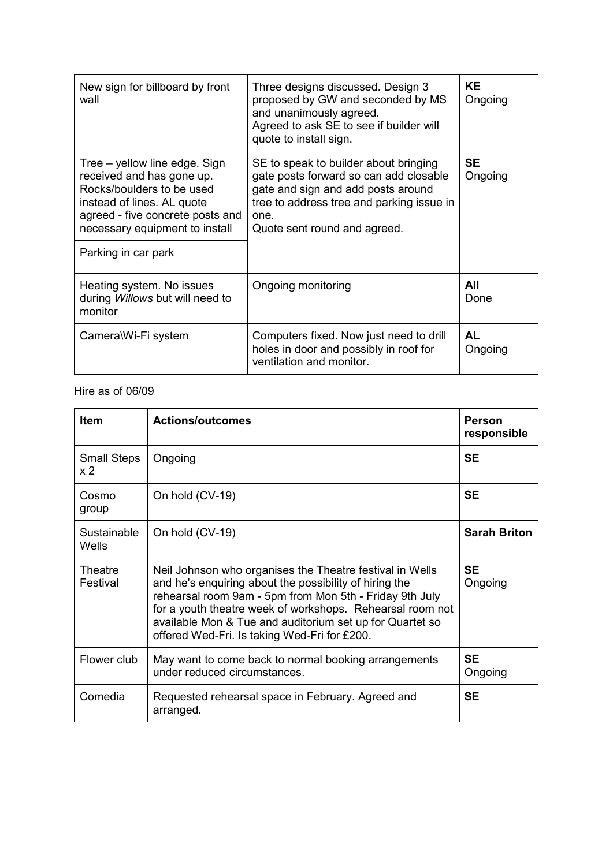| New sign for billboard by front<br>wall                                                                                                                                                                            | Three designs discussed. Design 3<br>proposed by GW and seconded by MS<br>and unanimously agreed.<br>Agreed to ask SE to see if builder will<br>quote to install sign.                                     | <b>KE</b><br>Ongoing |
|--------------------------------------------------------------------------------------------------------------------------------------------------------------------------------------------------------------------|------------------------------------------------------------------------------------------------------------------------------------------------------------------------------------------------------------|----------------------|
| Tree – yellow line edge. Sign<br>received and has gone up.<br>Rocks/boulders to be used<br>instead of lines. AL quote<br>agreed - five concrete posts and<br>necessary equipment to install<br>Parking in car park | SE to speak to builder about bringing<br>gate posts forward so can add closable<br>gate and sign and add posts around<br>tree to address tree and parking issue in<br>one.<br>Quote sent round and agreed. | <b>SE</b><br>Ongoing |
| Heating system. No issues<br>during Willows but will need to<br>monitor                                                                                                                                            | Ongoing monitoring                                                                                                                                                                                         | All<br>Done          |
| Camera\Wi-Fi system                                                                                                                                                                                                | Computers fixed. Now just need to drill<br>holes in door and possibly in roof for<br>ventilation and monitor.                                                                                              | <b>AL</b><br>Ongoing |

### Hire as of 06/09

| <b>Item</b>               | <b>Actions/outcomes</b>                                                                                                                                                                                                                                                                                                                                | <b>Person</b><br>responsible |
|---------------------------|--------------------------------------------------------------------------------------------------------------------------------------------------------------------------------------------------------------------------------------------------------------------------------------------------------------------------------------------------------|------------------------------|
| <b>Small Steps</b><br>x 2 | Ongoing                                                                                                                                                                                                                                                                                                                                                | <b>SE</b>                    |
| Cosmo<br>group            | On hold (CV-19)                                                                                                                                                                                                                                                                                                                                        | <b>SE</b>                    |
| Sustainable<br>Wells      | On hold (CV-19)                                                                                                                                                                                                                                                                                                                                        | <b>Sarah Briton</b>          |
| Theatre<br>Festival       | Neil Johnson who organises the Theatre festival in Wells<br>and he's enquiring about the possibility of hiring the<br>rehearsal room 9am - 5pm from Mon 5th - Friday 9th July<br>for a youth theatre week of workshops. Rehearsal room not<br>available Mon & Tue and auditorium set up for Quartet so<br>offered Wed-Fri. Is taking Wed-Fri for £200. | <b>SE</b><br>Ongoing         |
| Flower club               | May want to come back to normal booking arrangements<br>under reduced circumstances.                                                                                                                                                                                                                                                                   | <b>SE</b><br>Ongoing         |
| Comedia                   | Requested rehearsal space in February. Agreed and<br>arranged.                                                                                                                                                                                                                                                                                         | <b>SE</b>                    |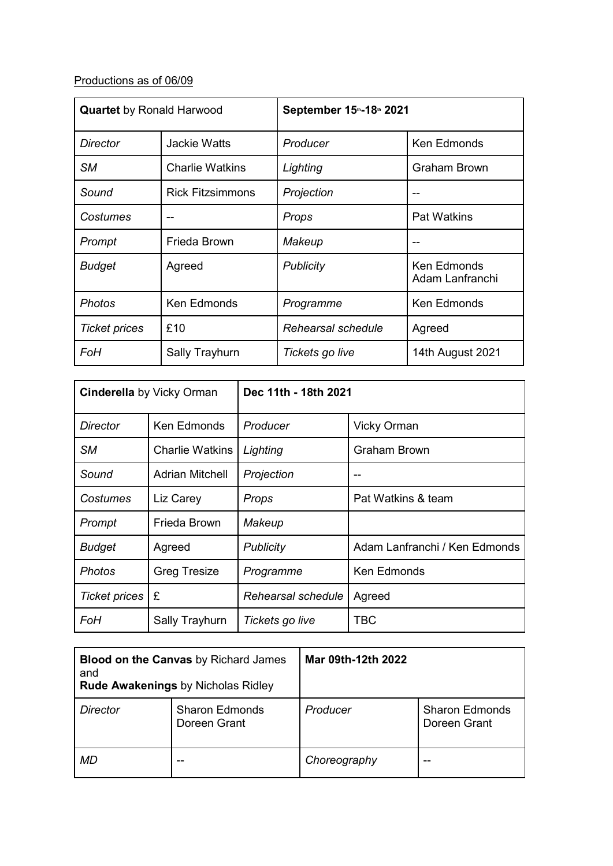## Productions as of 06/09

| <b>Quartet</b> by Ronald Harwood |                         | September 15 <sup>th</sup> -18th 2021 |                                |
|----------------------------------|-------------------------|---------------------------------------|--------------------------------|
| Director                         | Jackie Watts            | Producer                              | Ken Edmonds                    |
| <b>SM</b>                        | <b>Charlie Watkins</b>  | Lighting                              | Graham Brown                   |
| Sound                            | <b>Rick Fitzsimmons</b> | Projection                            |                                |
| Costumes                         |                         | Props                                 | <b>Pat Watkins</b>             |
| Prompt                           | Frieda Brown            | Makeup                                |                                |
| <b>Budget</b>                    | Agreed                  | Publicity                             | Ken Edmonds<br>Adam Lanfranchi |
| <b>Photos</b>                    | <b>Ken Edmonds</b>      | Programme                             | Ken Edmonds                    |
| <b>Ticket prices</b>             | £10                     | Rehearsal schedule                    | Agreed                         |
| FoH                              | Sally Trayhurn          | Tickets go live                       | 14th August 2021               |

| <b>Cinderella</b> by Vicky Orman |                        | Dec 11th - 18th 2021 |                               |
|----------------------------------|------------------------|----------------------|-------------------------------|
| Director                         | Ken Edmonds            | Producer             | <b>Vicky Orman</b>            |
| <b>SM</b>                        | <b>Charlie Watkins</b> | Lighting             | <b>Graham Brown</b>           |
| Sound                            | <b>Adrian Mitchell</b> | Projection           |                               |
| Costumes                         | Liz Carey              | Props                | Pat Watkins & team            |
| Prompt                           | Frieda Brown           | Makeup               |                               |
| <b>Budget</b>                    | Agreed                 | <b>Publicity</b>     | Adam Lanfranchi / Ken Edmonds |
| <b>Photos</b>                    | <b>Greg Tresize</b>    | Programme            | Ken Edmonds                   |
| <b>Ticket prices</b>             | £                      | Rehearsal schedule   | Agreed                        |
| FoH                              | Sally Trayhurn         | Tickets go live      | TBC                           |

| <b>Blood on the Canvas by Richard James</b><br>and<br><b>Rude Awakenings by Nicholas Ridley</b> |                                       | Mar 09th-12th 2022 |                                       |
|-------------------------------------------------------------------------------------------------|---------------------------------------|--------------------|---------------------------------------|
| Director                                                                                        | <b>Sharon Edmonds</b><br>Doreen Grant | Producer           | <b>Sharon Edmonds</b><br>Doreen Grant |
| MD                                                                                              |                                       | Choreography       | --                                    |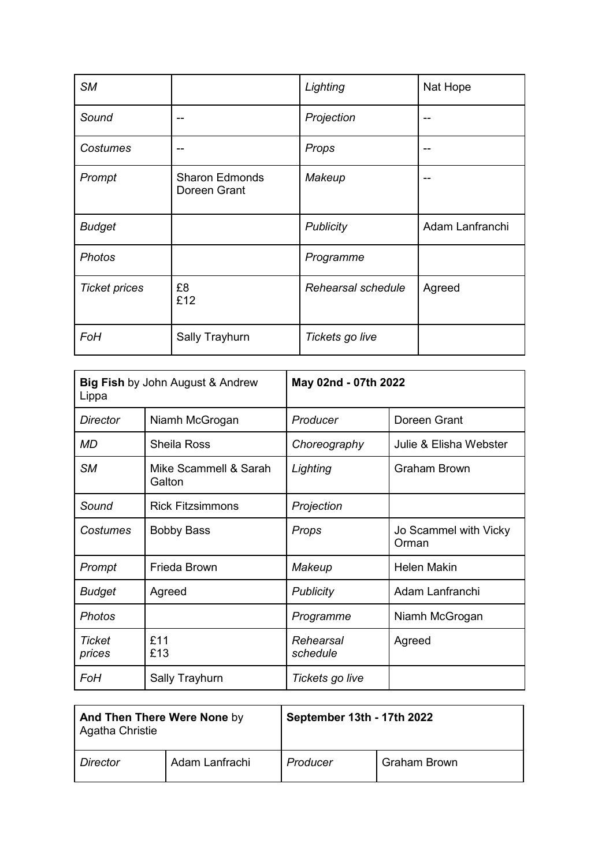| <b>SM</b>            |                                       | Lighting           | Nat Hope        |
|----------------------|---------------------------------------|--------------------|-----------------|
| Sound                | --                                    | Projection         | --              |
| <b>Costumes</b>      |                                       | Props              | --              |
| Prompt               | <b>Sharon Edmonds</b><br>Doreen Grant | Makeup             | --              |
| <b>Budget</b>        |                                       | <b>Publicity</b>   | Adam Lanfranchi |
| <b>Photos</b>        |                                       | Programme          |                 |
| <b>Ticket prices</b> | £8<br>£12                             | Rehearsal schedule | Agreed          |
| FoH                  | Sally Trayhurn                        | Tickets go live    |                 |

| <b>Big Fish by John August &amp; Andrew</b><br>Lippa |                                 | May 02nd - 07th 2022  |                                |
|------------------------------------------------------|---------------------------------|-----------------------|--------------------------------|
| Director                                             | Niamh McGrogan                  | Producer              | Doreen Grant                   |
| MD                                                   | <b>Sheila Ross</b>              | Choreography          | Julie & Elisha Webster         |
| <b>SM</b>                                            | Mike Scammell & Sarah<br>Galton | Lighting              | <b>Graham Brown</b>            |
| Sound                                                | <b>Rick Fitzsimmons</b>         | Projection            |                                |
| Costumes                                             | <b>Bobby Bass</b>               | Props                 | Jo Scammel with Vicky<br>Orman |
| Prompt                                               | Frieda Brown                    | Makeup                | <b>Helen Makin</b>             |
| <b>Budget</b>                                        | Agreed                          | <b>Publicity</b>      | Adam Lanfranchi                |
| <b>Photos</b>                                        |                                 | Programme             | Niamh McGrogan                 |
| Ticket<br>prices                                     | £11<br>£13                      | Rehearsal<br>schedule | Agreed                         |
| FoH                                                  | Sally Trayhurn                  | Tickets go live       |                                |

| And Then There Were None by<br>Agatha Christie |                | September 13th - 17th 2022 |                     |
|------------------------------------------------|----------------|----------------------------|---------------------|
| <i>Director</i>                                | Adam Lanfrachi | Producer                   | <b>Graham Brown</b> |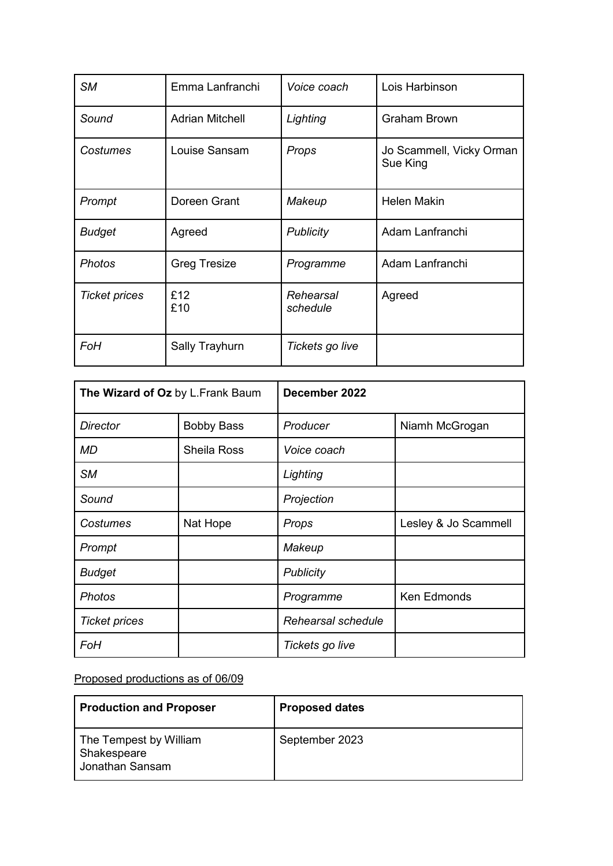| <b>SM</b>            | Emma Lanfranchi        | Voice coach           | Lois Harbinson                       |
|----------------------|------------------------|-----------------------|--------------------------------------|
| Sound                | <b>Adrian Mitchell</b> | Lighting              | <b>Graham Brown</b>                  |
| Costumes             | Louise Sansam          | Props                 | Jo Scammell, Vicky Orman<br>Sue King |
| Prompt               | Doreen Grant           | Makeup                | <b>Helen Makin</b>                   |
| <b>Budget</b>        | Agreed                 | <b>Publicity</b>      | Adam Lanfranchi                      |
| <b>Photos</b>        | <b>Greg Tresize</b>    | Programme             | Adam Lanfranchi                      |
| <b>Ticket prices</b> | £12<br>£10             | Rehearsal<br>schedule | Agreed                               |
| FoH                  | Sally Trayhurn         | Tickets go live       |                                      |

| The Wizard of Oz by L.Frank Baum |                   | December 2022      |                      |
|----------------------------------|-------------------|--------------------|----------------------|
| <b>Director</b>                  | <b>Bobby Bass</b> | Producer           | Niamh McGrogan       |
| <b>MD</b>                        | Sheila Ross       | Voice coach        |                      |
| <b>SM</b>                        |                   | Lighting           |                      |
| Sound                            |                   | Projection         |                      |
| Costumes                         | Nat Hope          | Props              | Lesley & Jo Scammell |
| Prompt                           |                   | Makeup             |                      |
| <b>Budget</b>                    |                   | <b>Publicity</b>   |                      |
| <b>Photos</b>                    |                   | Programme          | Ken Edmonds          |
| <b>Ticket prices</b>             |                   | Rehearsal schedule |                      |
| <b>FoH</b>                       |                   | Tickets go live    |                      |

### Proposed productions as of 06/09

| <b>Production and Proposer</b>                           | <b>Proposed dates</b> |
|----------------------------------------------------------|-----------------------|
| The Tempest by William<br>Shakespeare<br>Jonathan Sansam | September 2023        |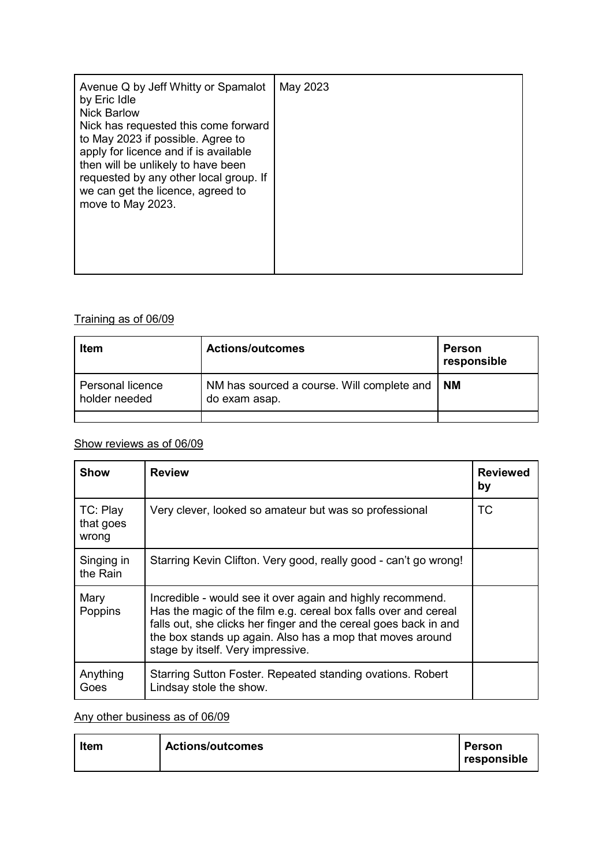| apply for licence and if is available<br>then will be unlikely to have been<br>requested by any other local group. If<br>we can get the licence, agreed to<br>move to May 2023. |
|---------------------------------------------------------------------------------------------------------------------------------------------------------------------------------|
|---------------------------------------------------------------------------------------------------------------------------------------------------------------------------------|

#### Training as of 06/09

| Item                              | <b>Actions/outcomes</b>                                          | Person<br>responsible |
|-----------------------------------|------------------------------------------------------------------|-----------------------|
| Personal licence<br>holder needed | NM has sourced a course. Will complete and   NM<br>do exam asap. |                       |
|                                   |                                                                  |                       |

#### Show reviews as of 06/09

| <b>Show</b>                    | <b>Review</b>                                                                                                                                                                                                                                                                                       | <b>Reviewed</b><br>by |
|--------------------------------|-----------------------------------------------------------------------------------------------------------------------------------------------------------------------------------------------------------------------------------------------------------------------------------------------------|-----------------------|
| TC: Play<br>that goes<br>wrong | Very clever, looked so amateur but was so professional                                                                                                                                                                                                                                              | <b>TC</b>             |
| Singing in<br>the Rain         | Starring Kevin Clifton. Very good, really good - can't go wrong!                                                                                                                                                                                                                                    |                       |
| Mary<br>Poppins                | Incredible - would see it over again and highly recommend.<br>Has the magic of the film e.g. cereal box falls over and cereal<br>falls out, she clicks her finger and the cereal goes back in and<br>the box stands up again. Also has a mop that moves around<br>stage by itself. Very impressive. |                       |
| Anything<br>Goes               | Starring Sutton Foster. Repeated standing ovations. Robert<br>Lindsay stole the show.                                                                                                                                                                                                               |                       |

Any other business as of 06/09

| <b>Item</b> | <b>Actions/outcomes</b> | <b>Person</b> |
|-------------|-------------------------|---------------|
|             |                         | responsible   |